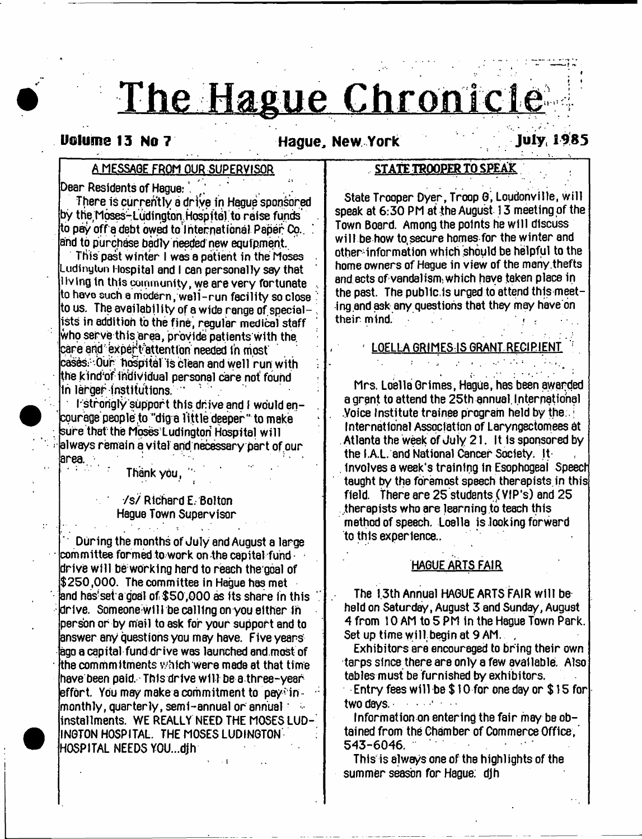# The Hague Chronicle

# **Uolume 13 No 7 Hague, New York July, 1985**

# **A MESSAGE FROM OUR SUPERVISOR**

**Dear Residents of Hague:** 

**There is currently a driye in Hague sponsored by the Moses- L udi ngton Hospital to raise funds' to pay off a debt owed to international Paper Co.. ! and to purchase badly heeded new equipment.**

**This past winter I W8S a patient in the Moses Ludinytun Hospital and I can personally say that l iv ing in this community, we are very fortunate .. to havo such a modern, well-run facility so close ' to us. The availability of a wide range of special-, ists in addition to the fine, regular medical staff who serve this'area, provide patients with the.** care and expert attention needed in most **cases/Our hospital is clean and wel 1 run with** the kind'of individual personal care not found **in larger institutions. ' '**

**I strorigly support this drive and I would encourage people ,to "dig a Tittle deeper'\* to make ; sure that the Moses Ludington Hospital will < always remain a vital arid, necessary part of our area. • : 1**

**: Thank you, ' '**

# **•/s/Richard E; Bolton Hague Town Supervisor**

I

**During the months of July and August a large** committee formed to work on the capital fund **drive will be: work Ing herd to reach the'goal of \$250,000. The committee in Hague has met and has'seia goal of \$50,000 as its share in this '. : drive. Someone will be calling on you either in person or by mail to ask for your support and to answer any questions you may have. Five years ago a capital fund drive was launched and.most of the commmitments which were mede at that time have been paid. This drive w ill be a three-year effort. You may make a commitment to pay' in monthly, quarterly, semi-annual or annual ' installments. WE REALLY NEED THE MOSES LUD-**INGTON HOSPITAL. THE MOSES LUDINGTON **HOSPITAL NEEDS YOU...djh**

# STATE TROOPER TO SPEAK

**State Trooper Oyer, Troop G, Loudonville, will speak at 6:30 PM at the August 13 meeting of the Town Board. Among the points he will discuss will be how to.secure homes for the winter and otherinformation which should be helpful to the home owners of Hague in view of the meny.thefts and acts of vandalism; which have taken place in the past. The public,Is urged to attend this meeting.and ask any questions that they may have on** their mind.

**; LOELLA GRIMES IS GRANT RECIPIENT !**

\* i 1 ! 1 f - \* **Mrs. Loella Grimes, Hague, has been awarded a grant to attend the 25th annual. Inter national .Voice Institute trainee program held by the;.; International Association of Laryngectomees at . Atlanta the week of July 21. It Is sponsored by the I.A.L. and National Cancer Society. It . involves a week's training In Esophogeai Speech taught by the foremost speech therepists.in this field. There are 25 students (VIP's) and 25 therapists who are learning to teach this method of speech. Loella is looking forward to this experience..**

#### **HAGUE ARTS FAIR**

**The 1.3th Annual HAGUE ARTS FAIR will be held on Saturday, August 3 and Sunday, August 4 from 10 AM to 5 PM In the Hague Town Park. Set up time will, begin at 9 AM, ,**

**Exhibitors are encouraged to bring their own tarps since there are only a few available. Also tables must be furnished by exhibitors.**

**Entry fees will be \$ 10 for one day or \$ 15 for two days,............**

**Information on entering the fair may be obtained from the Chamber of Commerce Office,' 543-6046.**

**This is always one of the highlights of the summer season for Hague; djh**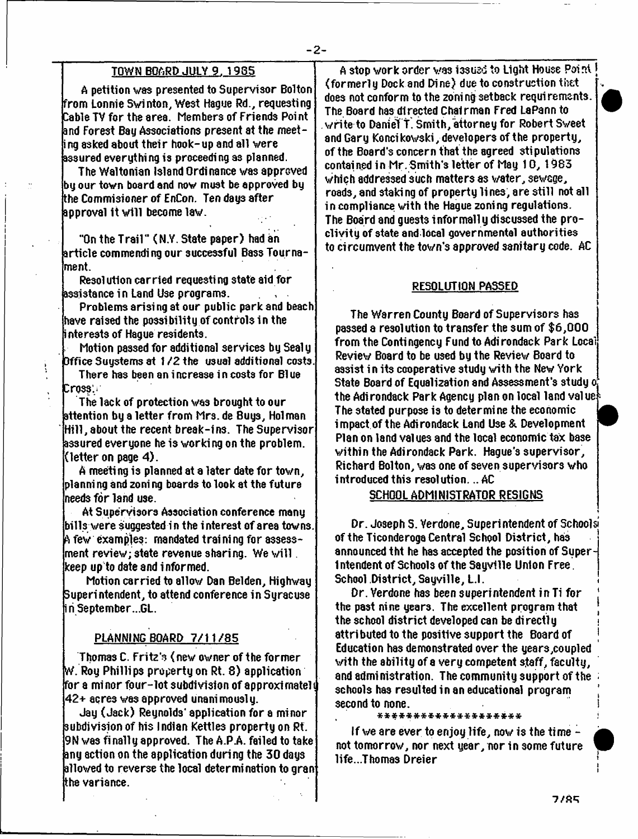# **TOWN BOARD JULY 9. 1985**

**A petition was presented to Supervisor Bolton from Lonnie Swinton, West Hague Rd., requesting Cable TV for the area. Members of Friends Poi nt and Forest Bag Associations present at the meeting asked about their hook-up and all were assured everything is proceeding a3 planned.**

**The Waltonian Island Ordinance was approved by our town board and now must be approved by the Commisioner of EnCon. Ten day3 after approval it will become law.**

"On the Trail" (N.Y. State paper) had an **article commending our successful Bass Tournament.**

**Resolution carried requesting state aid for assistance in Land Use programs.**

**Problems arising at our public park and beach have raised the possibility.of controls in the interests of Hague residents.**

**. Motion passed for additional services by Sealy Office Suystems at 1** */Z* **the usual additional costs.**

**There has been an increase in costs for Blue Cross:\*\***

ţ

**The lack of protection was brought to our attention by a letter from Mrs. de 8uy3, Holman Hill, about the recent break-ins. The Supervisor assured everyone he is working on the problem, (letter on page 4).**

**A meeting is planned at a later date for town, planni ng and zoni ng boards to look at the future needs for land use.**

**At Supervisors Association conference many bills were suggested in the interest of area towns. A few examples: mandated training for assessment review; state revenue sharing. We w ill. keep up to date and informed.**

**Motion carried to allow Dan Belden, Highway Superintendent, to attend conference in Syracuse iriSeptember...GL.**

### **PLANNING BOARD 7 /1 1 /8 5**

**Thomas C. Fritz's < new owner of the former W. Roy Phillips property on Rt. 8) application for a minor fpur-lot subdivision of approximated 42+ acres was approved unanimously.**

**Jay (Jack) Reynolds' application for a minor subdivision of his Indian Kettles property on Rt. 9N was finally approved. The A.PA. failed to take any action on the application during the 30 days allowed to reverse the local determination to gran the variance.**

**A stop work order was issued to Light House Poi nt J (formerly Dock and Dine) due to construction thet does not conform to the zoning setback requirements. The Board has directed Chairman Fred LaPann to .write-to Daniei t. Smith, attorney for Robert Sweet and Gary Koncikovski, developers of the property, of the Board's concern that the agreed stipulations contained in Mr. Smith's letter of May 10, 1983 which addressed such matters as water, sewage, roads, and staki ng of property lines, are still not all in compliance with the Hague zoning regulations.** The Board and quests informally discussed the pro**clivity of state and local governmental authorities to circumvent the town's approved sanitary code. AC**

# **RESOLUTION PASSED**

**The Warren County Board of Supervisors has passed a resolution to transfer the sum of \$6,000 from the Contingency Fund to Adirondack Park Local Review Board to be used by the Review Board to** assist in its cooperative study with the New York **State Board of Equalization and Assessment's study o the Adirondack Park Agency plan on local land value - The stated purpose is to determine the economic j impact of the Adirondack Land Use & Development** *'* **Plan on land values and the local economic tax base within the Adirondack Park. Hague's supervisor, Richard Bolton, was one of seven supervisors who introduced this resolution... AC**

# **SCHOOL ADMINISTRATOR RESIGNS**

**Dr. Joseph S. Verdone, Superintendent of School si of the Ticonderoga Central School District, has j announced tht he has accepted the position of Superb 1 ntendent of Schools of the Sayvllle Union Free. School District, Sayville, L.l. \***

**Dr. Verdone has been superintendent in Ti for [ the past nine years. The excellent program that the school district developed can be di recti y i attri buted to the positive support the Board of <sup>j</sup> Education has demonstrated over the years,coupled with the ability of a very competent staff, faculty, and administration. The community support of the ; schools has resulted in an educational program | second to none. 1**

**\* \* \* \* \* \* \* \* \* \* \* \* \* \* \* \* \* \* \* \* :**

**If we are ever to enjoy life, now is the ti me not tomorrow, nor next year, nor in some future life...Thoma3 Dreier '**

**i i**

*i*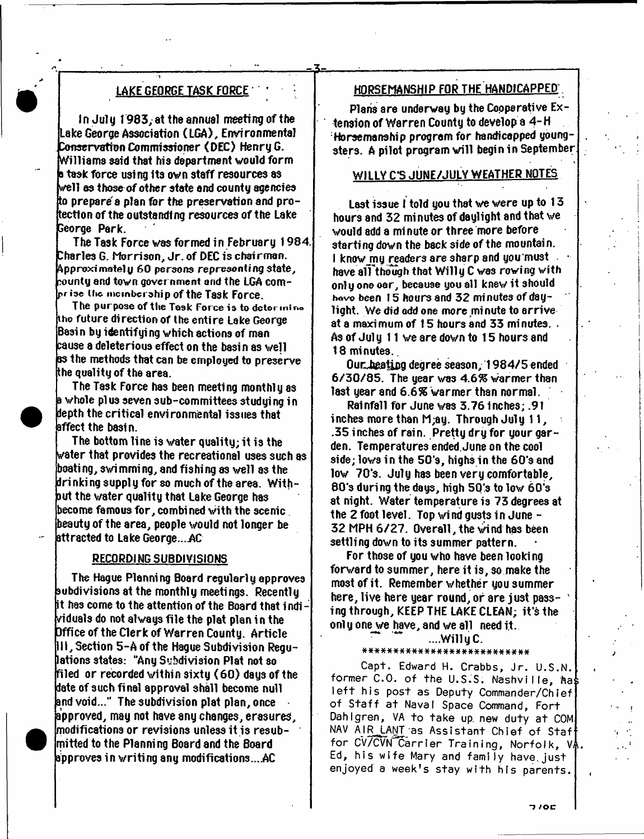# **LAKE GEORGE TASK FORCE '**

**In July 1983; at the annual meeting of the Lake George Association (LGA), Environmental Conservation Commissioner (DEC) Henry G. Williams said that his department would form b task force using its own staff resources as well as those of other state and county agencies to prepare s plan for the preservation and protection of the outstanding resources of the Lake George Park.**

**The Task Force was formed in February 1984. Charles G. Morrison, Jr. of DEC is chairman. Approximately 60 persons representing state, county and town gover nment and the LGA compr iae i tic membership of the Task Force.**

**The purpose of the Task Force is to detormino tho future direction of the entire Lake George Basin by identifying which actions of man cause a deleterious effect on the basin as well as the methods that can be employed to preserve the quality of the area.**

**The Task Force has been meeting monthly as a whole pi us seven sub-committees studying in depth the critical environmental issues that affect the basin.**

**The bottom line is water quality; it is the water that provides the recreational uses such as boating, swimming, and fishing as well** 83 **the drinking supply for so much of the area. Without the v/ater quality that Lake George has become famous for, combined with the scenic beauty of the area, people would not longer be attracted to Lake George....AC**

# **RECORDING SUBDIVISIONS**

**The Hague Planning Board regularly approves subdivisions at the monthly meetings. Recently it has come to the attention of the Board that indi viduals do not always file the plat plan in the Office of the Clerk of Warren County. Article III, Section 5-Aofthe Hague Subdivision Regulations states: "Any Subdivision Plat not so filed or recorded within sixty (6 0 ) days of the date of such final approval shall become null and void..." The subdivision plat plan, once approved, may not have any changes, erasures, modifications or revisions unless it is resubmitted to the Planning Board and the Board approves in writing any modifications....AC**

# **HORSEMANSHIP FOR THE HANDICAPPED;**

*z=.*

**Plans are underway by the Cooperative Extension of Warren County to develop a 4-H Horsemanship program for handicapped youngsters. A pilot program will begin in September**

# **WILLY C\*S JUNE/JULY WEATHER NOTES**

Last issue I told you that we were up to 13 **hours and 32 mi nutes of daylight and that we would add a mi nute or three more before starting down the back side of the mountain.** I know my readers are sharp and you must **have alTthough that W illy C was rowing with only one oar, because you all knew it should** have been 15 hours and 32 minutes of day**light. We did odd one more mi nute to arrive at a maximum of 15 hours and 33 minutes. ,** As of July 11 we are down to 15 hours and **18 minutes..**

**Our heating degree season, 1984/5 ended 6 /3 0 /8 5 . The year was** *4.6%* **warmer than last year and** *6.6%* **warmer than normal.**

**Rainfall for June was 3.76 inches; .91 inches more than M;ay. Through July 11, .35 inches of rain. Pretty dry for your garden. Temperatures ended. June on the cool side; lows in the 50's, highs in the 60's and low 70's. July has been very comfortable, 80's during the days, high 50\*s to low 60\*s at night. Water temperature is 73 degrees at the 2 foot level. Top wind gusts in June-32 MPH 6 /2 7 . Overall, the wi nd has been settling down to its summer pattern.**

**For those of you who have been looki ng forward to summer, here it is, so make the most of it. Remember whether you summer here, live here year round, or are just pass- 1 ing through, KEEP THE LAKE CLEAN; it's the onl y one we have, and we all need it .**

#### **~ ....Willy C.**

#### **a#\*#\*#\*\*\*#####\*############**

Capt. Edward H. Crabbs, Jr. U.S.N. former C.O. of the U.S.S. Nashville, has left his post as Deputy Commander/Chief of Staff at Naval Space Command, Fort Dahlgren, VA to take up new duty at COM NAV AIR LANT as Assistant Chief of Staf for CV/CVN Carrier Training, Norfolk, VA. Ed, his wife Mary and family have just enjoyed a week's stay with his parents.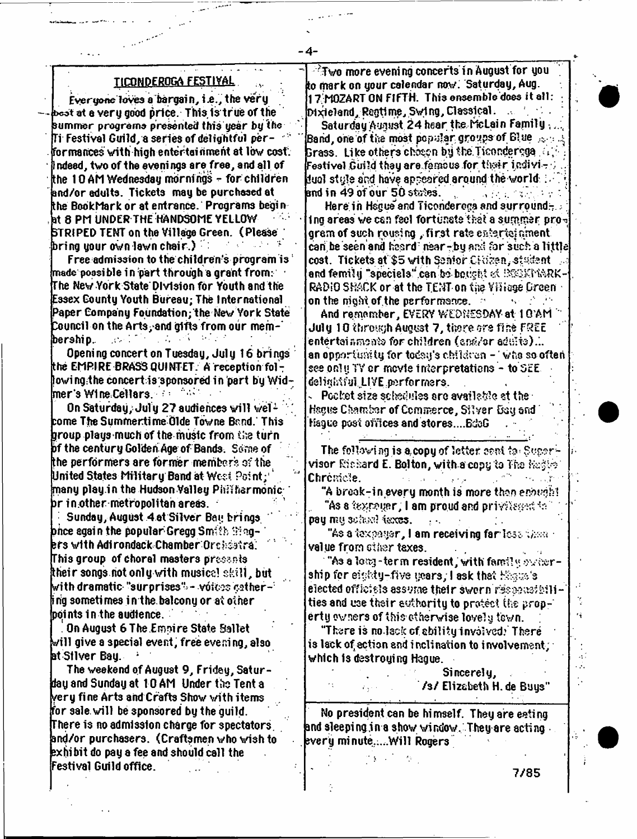# **TICONDEROGA FESTIVAL**

- **4**-

**Everyone'loves a bargain, the very bcot at e very good price. This is true of the summer programs presented this year by Vhe Ti Festival Guild, a series of delightful per- "" formances with high entertainment at low cost. Indeed, two of the evenings arefree, and all of the 10 AM Wednesday mornings - for children and/or adults. Tickets may be purchased at the BookMark or at entrance. Programs begi n at 8 PM UNDER THE HANDSOME YELLOW STRIPED TENT on the Village Green. (Please bring your own lawn chair.) \***

**Free admission to the children's program is 1 made possi ble i n part through a grant from: The New York State Division for Youth and the Essex County Youth Bureau; The International Paper Company Foundation; the New York State Council on the Arts/and gifts from our mem-\* bership.. .-.v :' \***

**Opening concert on Tuesday, July 16 brings the EMPIRE BRASS QUINTET. A reception fbl T lowingithe concert is;sponsored in part by Widmer\*sW1neCellers. : 'v '-**

On Saturday, July 27 audiences will wel<sup>2</sup> **come The Summertime dlde Towne Bnnd. This group playsmuch of the music from the turn bf the century Golden Age of Bands. Some of the performers are former members of the United States Military Band at West Point; \* many play.in the Hudson Valley Phi\*harmonic arimother metropolitan areas.**

**Sunday, August 4 at Silver Bay brings once agai n the popular Gregg Smith -Ting- ' lers with Adirondack Chamber Orchsstra: This group of choral masters prcs?ryls their songs hot only with musics! skill, but** with dramatic "surprises" - vóices cather-<sup>:</sup> **i ng someti mes i n the. balcony or at other points in the audience.**

**On August 6 The E moi re State Ballet will give a special event, free evening, also at Stiver Bay. 1**

**The weekend of August 9, Fridey, Saturday and Sunday at 10 AM Under the Tent a very fine Arts and Crafts Show with items for sale, will be sponsored by the guild. There is no admission charge for spectators, and/or purchasers. (Craftsmen who wish to exhibit do pay a fee and should call the estival Guild office.**

**-Two more evening concerts in August for you to mark on your calendar now' Saturday, Aug. 17.MOZART ON FIFTH. This ensemble does it a ll: Dixieland, Regtlme, Swlng, Classical. Saturday August 24 hear the McLain Family , Band, one of the most pcpylsr groups of Blue 3rass. Like others chosen by the.Ticonder^ga.;** *i* **/ ■ ; Festival Guild they are.famous for, tte tr ir.divi- .; juol style and have appeared around the worldand in 49 of our 50 states. . , ; :**

**Here in Hague and Ticonderoga and surround-Ing areas we can feel fortunate that a summer pro**gram of such rousing, first rate eaterici ament **cari'be seen and heerd near-by arc! for such a little cost. Tickets at \$5 with Senior CHizen, stadent** and femily "speciels" can bo bought of IXOSPMARK-**RADiO SHACK or at the TENT on tiie Viiioge Green on the night of the performance.**  $\mathbb{R}^n \times \mathbb{R}^n$ 

**And remember, EVERY WEDNESDAY at 1G'AM ' July 10 through August 7, there ore tine FREE entertair.mcOiS for children (sntf/or adi;:ts).'.. an opportunity for todsy's children - ' who so often see onl tj TV or mcvle i nterpretatiens - to SEE delightiul LIVE performers.** 

**Pocket size schedules are available at the -**Hague Chamber of Commerce, Silver Gsy and **Hague post offices and stores....BdoG**

**The following is a copy of letter sent to Supervisor Richard E. Bolton, with a copy to The Chrcmcie. .,>■ ■**

**"A break-in every month is more than enough! "As a ?expeyer, I am proud and privelenced for** pay my sokeel faxes. • **A** r.

**"As a taxpayer, I am receivi ng farlcs: value from ether taxes.**

**"As a 1 on?, -term resident, with fami!« oviro-rship for eighty-five years; I ask that**  $E$  **such**  $s$ **elected officials assume their sworn unities and use their authority to protect (he prope rt y ov ners of t his cthe rwise level y tew n.**

**"There is no.lack cf ability involved? There is lack of^ action and inclination to involvement, which is destroying Hague.**

> **Sincerely, 7 s / Elizabeth H. de Buys"**

**No president can be himself. They are eating and sleeping ,ina show window. They are acting avery minute."..Will Rogers**

**> -** *\*:<*

**7 /8 5**

٠,

41  $\mathcal{L}_{\mathcal{A}}$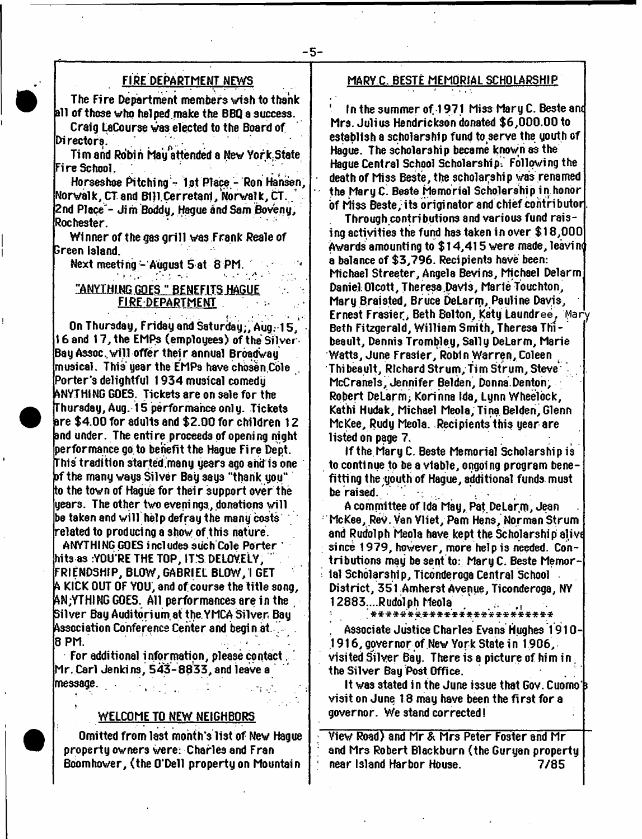# **FIRE DEPARTMENT NEWS**

**The Fire Department members wish to thank all of those who helped.make the BBQ a success. Craig LaCourse was elected to the Board of**

**Directors. Tim and Robin hay attended a New York.State**

**Fire School. .**

Horseshoe Pitching - 1st Place - Ron Hansen, **Norwalk, CT. and BIRCerretarrt/Norwalk, 6t . / 2nd Place - Jim Boddy, Hague and Sam Boveny, Rochester.**

**Winner of the gas grill was Frank Reale of Sreen island.**

**Next meeting - August Sat 8 PM.**

# **MANYTHING GOES " BENEFITS HAGUE FIRE DEPARTMENT :■**

 $\mathbb{R}^n$  . The set of  $\mathbb{R}^n$  is the set of  $\mathbb{R}^n$ **On Thursday, Friday and Saturday;, Aug.\* 15, 16 and 17, the EMPs (employees) of the Silver Bay Assoc.,will offer thei r annual Broadway musical. This year the EMPs have chbsen Cole . Porter's delightful 1934 musical comedy ANYTHING GOES. Tickets are on sale for the Thursday, Aug. 15 performance only. Tickets are \$4.00 for adults and \$2.00 for children 12 and under. The entire proceeds of opening night performance go to benefit the Hague Fire Dept-This tradition started,many years ago and is one af the many ways Silver Bay says "thank you" to the town of Hague for their support over the years. The other two evenings, donations will be taken and will help defray the many costs related to producing a show of this nature.**

**ANYTHING GOES includes such Cole Porter ' hits as iYOU'RE THE TOP, IT'S DELOVELY, FRIENDSHIP, BLOW, GABRIEL BLOW/I GET A KICK OUT OF YOU, and of course the title song, ftN;YTHING GOES. All performances are in the Silver Bay Auditori um at the. YMCA Silver Bay Association Conference Center and begi n at. 8 PM.**  $\mathbf{R} = \mathbf{R} \times \mathbf{R}$  is the set of  $\mathbf{R} = \mathbf{R} \times \mathbf{R}$  .

**For additional information, please contact. ' Mr. Carl Jenkins, 5 4 3 -8 8 3 3 , and leave a message. .**

### **WELCOME TO NEW NEIGHBORS**

**Omitted from last month's list of New Hague property owners were: Charles and Fran Bbomhower, (the O'Dell property on Mountain**

# **MARY C. BESTE MEMORIAL SCHOLARSHIP**

**1 In the summer of. 1971 Miss Mary C. Beste am Mrs. Julius Hendrickson donated \$6,000.00 to establish a scholarship fund to serve the youth of Hague. The scholarship became known as the Hague Central School Scholarship. Following the death of Miss Beste, the scholarshi p was renamed the Mary C Beste Memorial Scholarship in honor of Miss Beste, its originator and chief coritributor,**

**Through contributions and various fund raising activities the fund has taken in over \$18,000 Awards amounti ng to \$ 14,415 were made, leavi n< a balance of \$3,796. Recipients have been: Michael Streeter, Angela Bevins, Michael Delarm Daniel Olcott, Theresa.Davis, Marie Touchton, Mary Braisted, Bruce DeLarm, Pauline Davis, Ernest Frasier, Beth Bolton, Katy Laundree, Mary Beth Fitzgerald, William Smith, Theresa Thibeault, Dennis Trombley, Sally DeLarm, Marie Watts, June Frasier, Robin Warren, Coleen Thibeault, Richard Strum, Tim Strum, Steve McCranels, Jennifer Belden, Donna.Denton, Robert DeLarm; Korinna Ida, Lynn Wheelock, Kathi Hudak, Michael Meola, Tina Belden, Glenn McKee, Rudy Meola. Recipients this year are listed on page 7.**

**If the. Mary C. Beste Memorial Scholarship is** to continue to be a viable, ongoing program bene**fits ng the;youth of Hague, additional funds must be raised.**

**A comrnittee of Ida May, Pat DeLar.m, Jean ; McKee, ReV. Van Vliet, Pam Hens, Norman Strum and Rudolph Meola have kept the Scholarship eljvt since 1979, however, more help is needed. Contributions may be sent to: Mary C. Beste Memori ial Scholarship, Ticonderoga Central School District, 351 Amherst Avenue, Ticonderoga, NY 12883....Rudolph Meola /**

\*\*\*\*\*\*\*\*\*\*\*\*\*\*\*\*\*\*\*\*\*\*\*\* **. Associate Justice Charles Evans Hughes 1910- 1916, governor of New York State in 1906, visited Silver Bay. There is a picture of him in . the Silver Bay Post Office.**

It was stated in the June issue that Gov. Cuomo's **visit on June 18 may have been the first for a governor. We stand corrected!**

**View Road) and Mr & Mr3 Peter Foster and Mr ; and Mrs Robert Blackburn (the Guryan property ; near Island Harbor House. 7 /8 5**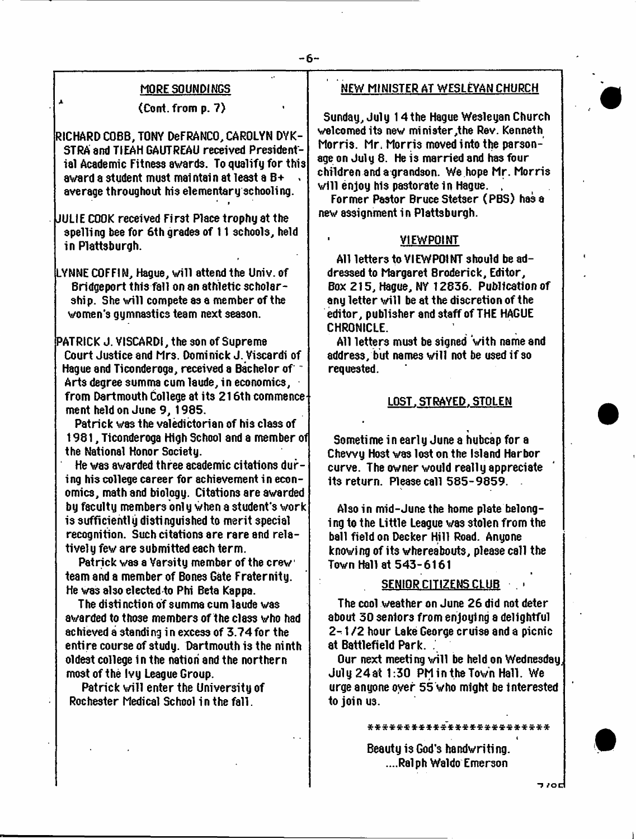#### **MORE SOUNDINGS**

#### **(Cont. from p. 7)**

**RICHARD COBB, TONY DeFRANCO, CAROLYN DYK-STRA and TIEAH GAUTREAU received Presidential Academic Fitness awards. To qualify for this award a student must maintain at least a B+ « average throughout his elementary schooling.** *4 t*

**JULIE COOK received First Place trophy at the spelling bee for 6th grades of 11 schools, held in Plattsburgh.**

**LYNNE COFFIN, Hague, will attend the Univ. of Bridgeport this fall on an athletic scholarship. She will compete as a member of the women's gymnastics team next season.**

**PATRICK J. VISCARDI, the son of Supreme Court Justice and Mrs. Dominick J. Viscardi of Hague and Ticonderoga, received a Bachelor of Arts degree summa cum laude, in economics, from Dartmouth College at its 216th commence ment held on June 9, 1985.**

**Patrick was the valedictorian of his class of 1981, Ticonderoga High School and a member of the National Honor Society.**

He was awarded three academic citations dur**ing his college career for achievement in economics, math and biology. Citations are awarded by faculty members onl y when a student's work is sufficiently distinguished to merit special recognition. Such citations are rare and relatively few are submitted each term.**

**Patrick was a Varsity member of the crew team and a member of Bones Gate Fraternity. He was also elected to Phi Beta Kappa.**

**The disti notion of summa cum laude was awarded to those members of the class who had achieved a standing in excess of 3 .7 4 for the entire course of study. Dartmouth i3 the ninth oldest college in the nation and the northern most of the Ivy League Group.**

**Patrick will enter the University of Rochester Medical School in the fall.**

#### **NEW MINISTER AT WESLEYAN CHURCH**

**Sunday, July 14the Hague Wesleyan Church welcomed its new minister,the Rev. Kenneth Morris. Mr, Morris moved into the parsonage on July 6. He is married and has four children and a grandson. We hope Mr. Morris** will enjoy his pastorate in Hague.

**Former Pastor Bruce Stetser (PBS) has a new assignment in Plattsburgh.**

# **VIEWPOINT**

**All letters to VIEWPOINT should beaddressed to Margaret Broderick, Editor, Box 215, Hague, NY 12636. Publication of any letter will be at the discretion of the editor, publisher and staff of THE HAGUE CHRONICLE.**

**All letters must be signed with name and address, but names will not be used if so requested.**

#### **LOST. STRAYED. STOLEN**

**Sometime in early June a hubcap for a Chewy Host was lost on the Island Harbor curve. The owner would really appreciate its return. Please call 585-9 859 .**

**Also in mid-June the home plate belongi ng to the Little League wa3 stolen from the ball field on Decker Hill Road. Anyone knowi ng of its whereabouts, please call the Town Hall at 543-6161**

# **SENIOR CITIZENS CLUB . -**

**The cool weather on June 26 did not deter about 30 seniors from enjoying a delightful** *2 -* **1 /2 hour Lake George cruise and a picnic at Battlefield Park. .**

**Our next meeting will be held on Wednesday, July 2 4 at 1:30 PM in the Town Hall. We urge anyone oyer 55 who might be interested tojoinu3.**

\*\*\*\*\*\*\*\*\*\*\*\*\*\*\*\*\*\*\*\*\*\*\*\*

**Beauty is God's handwriting. ....Ralph Waldo Emerson**

*/od*

**\***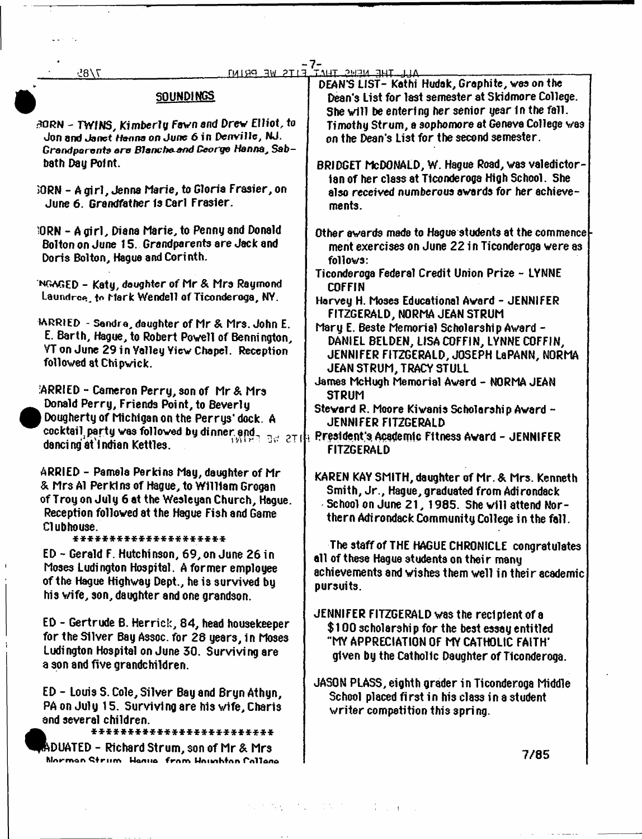| 7/8                                                                                                | EITS WE PRIMI                                   | <u>TAHT SWEM ENLILLIA</u><br>DEAN'S LIST- Kathi Hudak, Graphite, was on the |
|----------------------------------------------------------------------------------------------------|-------------------------------------------------|-----------------------------------------------------------------------------|
|                                                                                                    | <b>SOUNDINGS</b>                                | Dean's List for last semester at Skidmore College.                          |
|                                                                                                    |                                                 | She will be entering her senior year in the fall.                           |
| BORN - TWINS, Kimberly Fawn and Drew Elliot, to                                                    |                                                 | Timothy Strum, a sophomore at Geneva College was                            |
| Jon and Janet Hanna on June 6 in Denville, NJ.                                                     |                                                 | on the Dean's List for the second semester.                                 |
|                                                                                                    | Grandparents are Blancha and George Hanna, Sab- |                                                                             |
| bath Day Point.                                                                                    |                                                 | BRIDGET McDONALD, W. Hague Road, was valedictor-                            |
|                                                                                                    |                                                 | ian of her class at Ticonderoga High School. She                            |
| 30RN - A gir1, Jenna Marie, to Gloria Frasier, on<br>June 6. Grandfather is Carl Frasier.          |                                                 | also received numberous awards for her achieve-                             |
|                                                                                                    |                                                 | ments.                                                                      |
|                                                                                                    | 10RN - Agirl, Diana Marie, to Penny and Donald  | Other awards made to Hague students at the commence                         |
| Bolton on June 15. Grandparents are Jack and                                                       |                                                 | ment exercises on June 22 in Ticonderoga were as                            |
| Doris Bolton, Hague and Corinth.                                                                   |                                                 | follows:                                                                    |
|                                                                                                    |                                                 | Ticonderoga Federal Credit Union Prize - LYNNE                              |
| INGMGED - Katy, daughter of Mr & Mrs Raymond                                                       |                                                 | <b>COFFIN</b>                                                               |
| Laundree, to Mark Wendell of Ticonderaga, NY.                                                      |                                                 | Harvey H. Moses Educational Award - JENNIFER                                |
|                                                                                                    |                                                 | FITZGERALD, NORMA JEAN STRUM                                                |
| MRRIED - Sandra, daughter of Mr & Mrs. John E.                                                     |                                                 | Mary E. Beste Memorial Scholarship Award -                                  |
| E. Barth, Hague, to Robert Powell of Bennington,                                                   |                                                 | DANIEL BELDEN, LISA COFFIN, LYNNE COFFIN,                                   |
| VT on June 29 in Valley View Chapel. Reception                                                     |                                                 | JENNIFER FITZGERALD, JOSEPH LaPANN, NORMA                                   |
| followed at Chipwick.                                                                              |                                                 | JEAN STRUM, TRACY STULL                                                     |
|                                                                                                    |                                                 | James McHugh Memorial Award - NORMA JEAN                                    |
| :ARRIED - Cameron Perry, son of Mr & Mrs                                                           |                                                 | <b>STRUM</b>                                                                |
| Donald Perry, Friends Point, to Beverly<br>Dougherty of Michigan on the Perrys' dock. A            |                                                 | Steward R. Moore Kiwanis Scholarship Award -                                |
|                                                                                                    |                                                 | JENNIFER FITZGERALD                                                         |
| cocktail party was followed by dinner and<br>BW 2TIH<br>dancing at Indian Kettles.                 |                                                 | President's Academic Fitness Award - JENNIFER                               |
|                                                                                                    |                                                 | <b>FITZGERALD</b>                                                           |
| ARRIED - Pamela Perkins May, daughter of Mr                                                        |                                                 | KAREN KAY SMITH, daughter of Mr. & Mrs. Kenneth                             |
|                                                                                                    | & Mrs A1 Perkins of Hague, to William Grogan    | Smith, Jr., Hague, graduated from Adirondack                                |
| of Troy on July 6 at the Wesleyan Church, Hague.                                                   |                                                 | - School on June 21, 1985. She will attend Nor-                             |
| Reception followed at the Hague Fish and Game                                                      |                                                 | thern Adirondack Community College in the fall.                             |
| Clubhouse.                                                                                         |                                                 |                                                                             |
| ********************                                                                               |                                                 | The staff of THE HAGUE CHRONICLE congratulates                              |
| ED - Gerald F. Hutchinson, 69, on June 26 in                                                       |                                                 | all of these Hague students on their many                                   |
| Moses Ludington Hospital. A former employee                                                        |                                                 | achievements and wishes them well in their academic.                        |
| of the Hague Highway Dept., he is survived by                                                      |                                                 | pursuits.                                                                   |
|                                                                                                    | his wife, son, daughter and one grandson.       |                                                                             |
|                                                                                                    |                                                 | JENNIFER FITZGERALD was the recipient of a                                  |
| ED - Gertrude B. Herrick, 84, head housekeeper<br>for the Silver Bay Assoc. for 28 years, in Moses |                                                 | \$100 scholarship for the best essay entitled                               |
| Ludington Hospital on June 30. Surviving are                                                       |                                                 | "MY APPRECIATION OF MY CATHOLIC FAITH"                                      |
| a son and five grandchildren.                                                                      |                                                 | given by the Catholic Daughter of Ticonderoga.                              |
|                                                                                                    |                                                 | JASON PLASS, eighth grader in Ticonderoga Middle                            |
| ED - Louis S. Cole, Silver Bay and Bryn Athyn,                                                     |                                                 | School placed first in his class in a student                               |
| PA on July 15. Surviving are his wife, Charis                                                      |                                                 | writer competition this spring.                                             |
| and several children.                                                                              |                                                 |                                                                             |
|                                                                                                    | ************************                        |                                                                             |
| ADUATED - Richard Strum, son of Mr & Mrs                                                           |                                                 | 7/85                                                                        |
|                                                                                                    | Norman Strum Hanual from Houghton Collage       |                                                                             |

, where  $\mathcal{B}(\mathbf{y})$  ,  $\mathcal{B}(\mathbf{y})$  , and  $\mathcal{B}(\mathbf{y})$  , and  $\mathcal{B}(\mathbf{y})$  , and

the contract of the contract of the contract

 $\epsilon_{\rm{max}}$ 

 $\frac{1}{2} \frac{1}{2} \frac{1}{2} \frac{1}{2} \frac{1}{2} \frac{1}{2}$ 

 $\bar{\mathbf{I}}$ 

 $\mathcal{L}(\mathcal{A})$  and  $\mathcal{L}(\mathcal{A})$